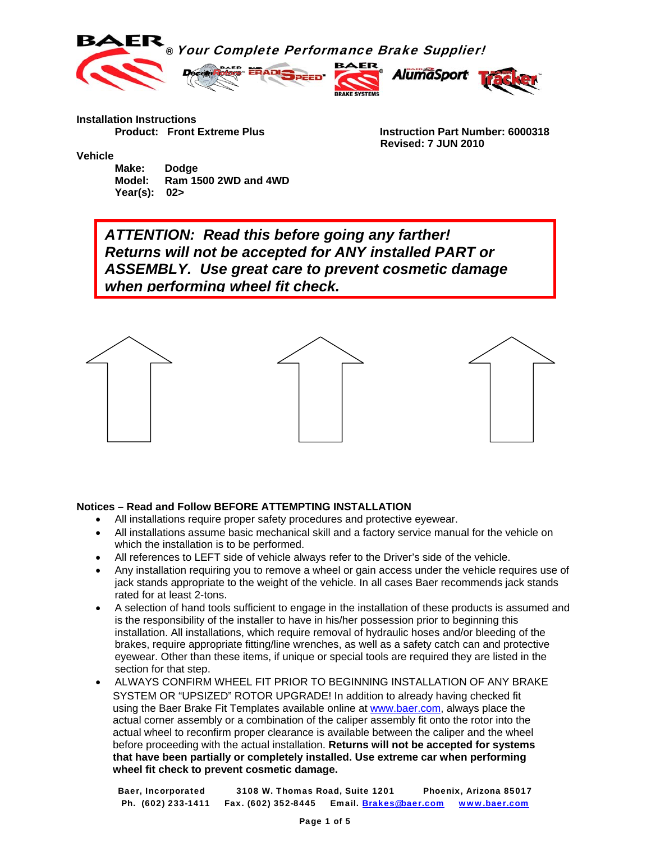

**Installation Instructions** 

 **Product: Front Extreme Plus Instruction Part Number: 6000318 Revised: 7 JUN 2010** 

**Vehicle** 

 **Make: Dodge Model: Ram 1500 2WD and 4WD Year(s): 02>**

*ATTENTION: Read this before going any farther! Returns will not be accepted for ANY installed PART or ASSEMBLY. Use great care to prevent cosmetic damage when performing wheel fit check.*



#### **Notices – Read and Follow BEFORE ATTEMPTING INSTALLATION**

- All installations require proper safety procedures and protective eyewear.
- All installations assume basic mechanical skill and a factory service manual for the vehicle on which the installation is to be performed.
- All references to LEFT side of vehicle always refer to the Driver's side of the vehicle.
- Any installation requiring you to remove a wheel or gain access under the vehicle requires use of jack stands appropriate to the weight of the vehicle. In all cases Baer recommends jack stands rated for at least 2-tons.
- A selection of hand tools sufficient to engage in the installation of these products is assumed and is the responsibility of the installer to have in his/her possession prior to beginning this installation. All installations, which require removal of hydraulic hoses and/or bleeding of the brakes, require appropriate fitting/line wrenches, as well as a safety catch can and protective eyewear. Other than these items, if unique or special tools are required they are listed in the section for that step.
- ALWAYS CONFIRM WHEEL FIT PRIOR TO BEGINNING INSTALLATION OF ANY BRAKE SYSTEM OR "UPSIZED" ROTOR UPGRADE! In addition to already having checked fit using the Baer Brake Fit Templates available online at www.baer.com, always place the actual corner assembly or a combination of the caliper assembly fit onto the rotor into the actual wheel to reconfirm proper clearance is available between the caliper and the wheel before proceeding with the actual installation. **Returns will not be accepted for systems that have been partially or completely installed. Use extreme car when performing wheel fit check to prevent cosmetic damage.**

Baer, Incorporated 3108 W. Thomas Road, Suite 1201 Phoenix, Arizona 85017 Ph. (602) 233-1411 Fax. (602) 352-8445 Email. Brakes@baer.com www.baer.com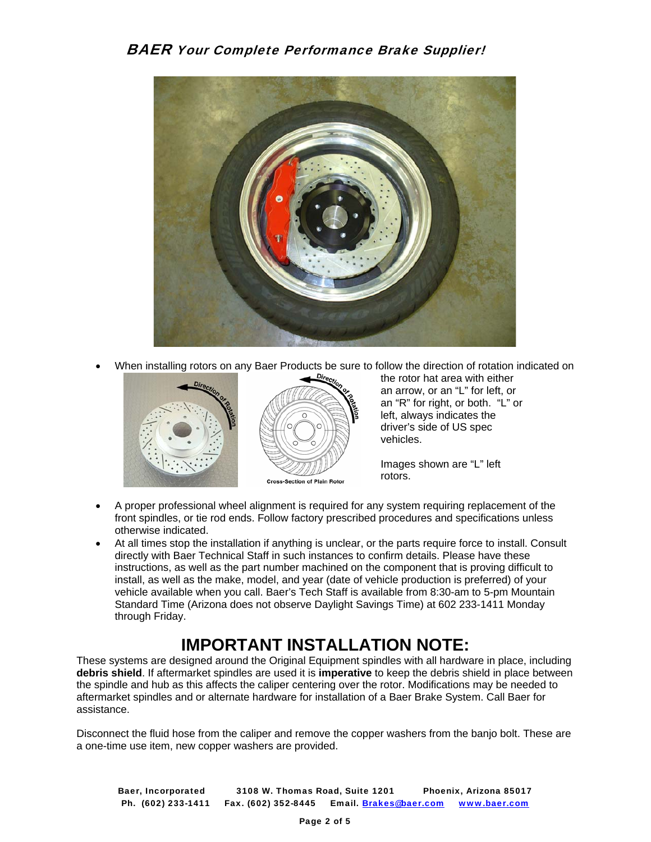

• When installing rotors on any Baer Products be sure to follow the direction of rotation indicated on



the rotor hat area with either an arrow, or an "L" for left, or an "R" for right, or both. "L" or left, always indicates the driver's side of US spec vehicles.

Images shown are "L" left rotors.

- A proper professional wheel alignment is required for any system requiring replacement of the front spindles, or tie rod ends. Follow factory prescribed procedures and specifications unless otherwise indicated.
- At all times stop the installation if anything is unclear, or the parts require force to install. Consult directly with Baer Technical Staff in such instances to confirm details. Please have these instructions, as well as the part number machined on the component that is proving difficult to install, as well as the make, model, and year (date of vehicle production is preferred) of your vehicle available when you call. Baer's Tech Staff is available from 8:30-am to 5-pm Mountain Standard Time (Arizona does not observe Daylight Savings Time) at 602 233-1411 Monday through Friday.

# **IMPORTANT INSTALLATION NOTE:**

These systems are designed around the Original Equipment spindles with all hardware in place, including **debris shield**. If aftermarket spindles are used it is **imperative** to keep the debris shield in place between the spindle and hub as this affects the caliper centering over the rotor. Modifications may be needed to aftermarket spindles and or alternate hardware for installation of a Baer Brake System. Call Baer for assistance.

Disconnect the fluid hose from the caliper and remove the copper washers from the banjo bolt. These are a one-time use item, new copper washers are provided.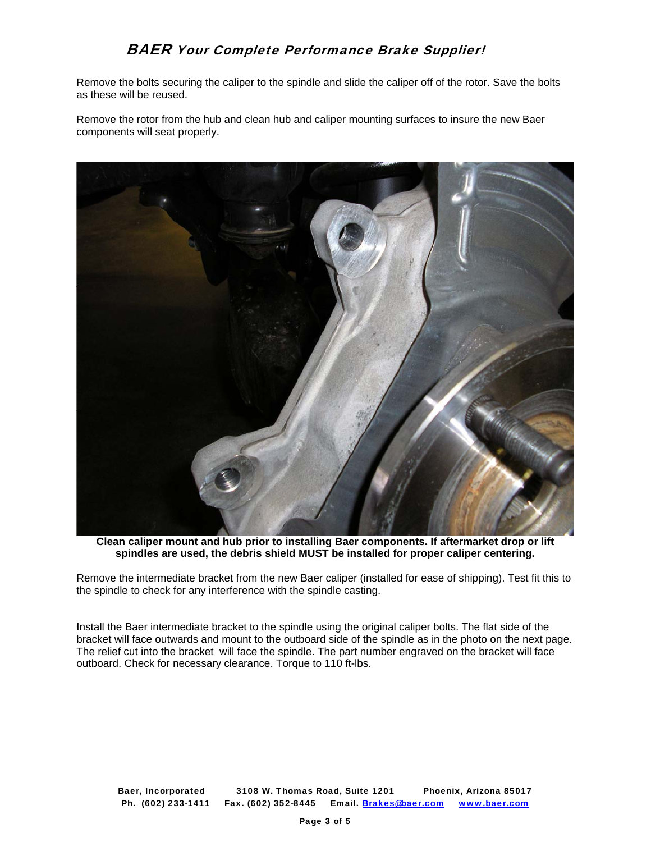Remove the bolts securing the caliper to the spindle and slide the caliper off of the rotor. Save the bolts as these will be reused.

Remove the rotor from the hub and clean hub and caliper mounting surfaces to insure the new Baer components will seat properly.



**Clean caliper mount and hub prior to installing Baer components. If aftermarket drop or lift spindles are used, the debris shield MUST be installed for proper caliper centering.** 

Remove the intermediate bracket from the new Baer caliper (installed for ease of shipping). Test fit this to the spindle to check for any interference with the spindle casting.

Install the Baer intermediate bracket to the spindle using the original caliper bolts. The flat side of the bracket will face outwards and mount to the outboard side of the spindle as in the photo on the next page. The relief cut into the bracket will face the spindle. The part number engraved on the bracket will face outboard. Check for necessary clearance. Torque to 110 ft-lbs.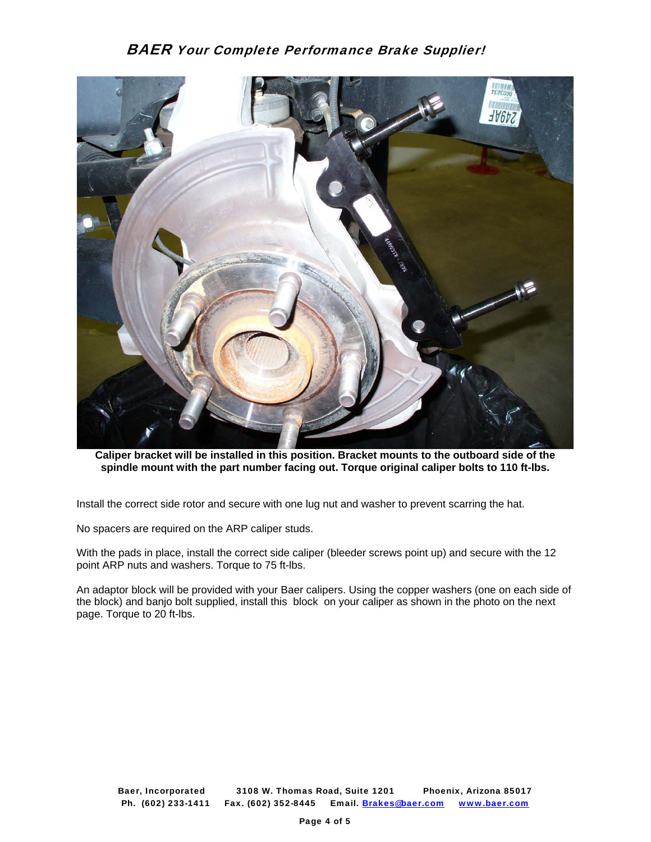

**Caliper bracket will be installed in this position. Bracket mounts to the outboard side of the spindle mount with the part number facing out. Torque original caliper bolts to 110 ft-lbs.** 

Install the correct side rotor and secure with one lug nut and washer to prevent scarring the hat.

No spacers are required on the ARP caliper studs.

With the pads in place, install the correct side caliper (bleeder screws point up) and secure with the 12 point ARP nuts and washers. Torque to 75 ft-lbs.

An adaptor block will be provided with your Baer calipers. Using the copper washers (one on each side of the block) and banjo bolt supplied, install this block on your caliper as shown in the photo on the next page. Torque to 20 ft-lbs.